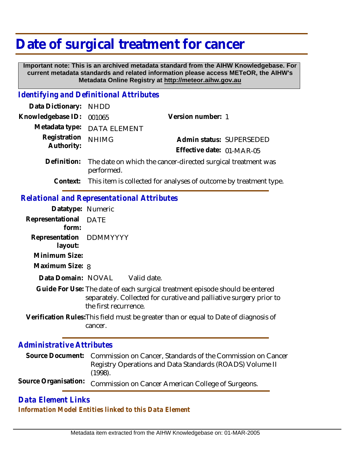## **Date of surgical treatment for cancer**

 **Important note: This is an archived metadata standard from the AIHW Knowledgebase. For current metadata standards and related information please access METeOR, the AIHW's Metadata Online Registry at http://meteor.aihw.gov.au**

## *Identifying and Definitional Attributes*

| Data Dictionary: NHDD      |                                                                            |                                                                            |                          |
|----------------------------|----------------------------------------------------------------------------|----------------------------------------------------------------------------|--------------------------|
| Knowledgebase ID:          | 001065                                                                     | Version number: 1                                                          |                          |
| Metadata type:             | <b>DATA ELEMENT</b>                                                        |                                                                            |                          |
| Registration<br>Authority: | <b>NHIMG</b>                                                               |                                                                            | Admin status: SUPERSEDED |
|                            |                                                                            | Effective date: 01-MAR-05                                                  |                          |
| Definition:                | The date on which the cancer-directed surgical treatment was<br>performed. |                                                                            |                          |
|                            |                                                                            | Context: This item is collected for analyses of outcome by treatment type. |                          |
|                            |                                                                            |                                                                            |                          |

## *Relational and Representational Attributes*

| Datatype: Numeric                  |                                                                                                                                                                             |
|------------------------------------|-----------------------------------------------------------------------------------------------------------------------------------------------------------------------------|
| Representational<br>form:          | <b>DATE</b>                                                                                                                                                                 |
| Representation DDMMYYYY<br>layout: |                                                                                                                                                                             |
| Minimum Size:                      |                                                                                                                                                                             |
| Maximum Size: 8                    |                                                                                                                                                                             |
| Data Domain: NOVAL                 | Valid date.                                                                                                                                                                 |
|                                    | Guide For Use: The date of each surgical treatment episode should be entered<br>separately. Collected for curative and palliative surgery prior to<br>the first recurrence. |
|                                    | Verification Rules: This field must be greater than or equal to Date of diagnosis of<br>cancer.                                                                             |
| Administrative Attributes          |                                                                                                                                                                             |

| Source Document: Commission on Cancer, Standards of the Commission on Cancer |
|------------------------------------------------------------------------------|
| Registry Operations and Data Standards (ROADS) Volume II<br>(1998).          |
| Source Organisation: Commission on Cancer American College of Surgeons.      |

## *Data Element Links Information Model Entities linked to this Data Element*